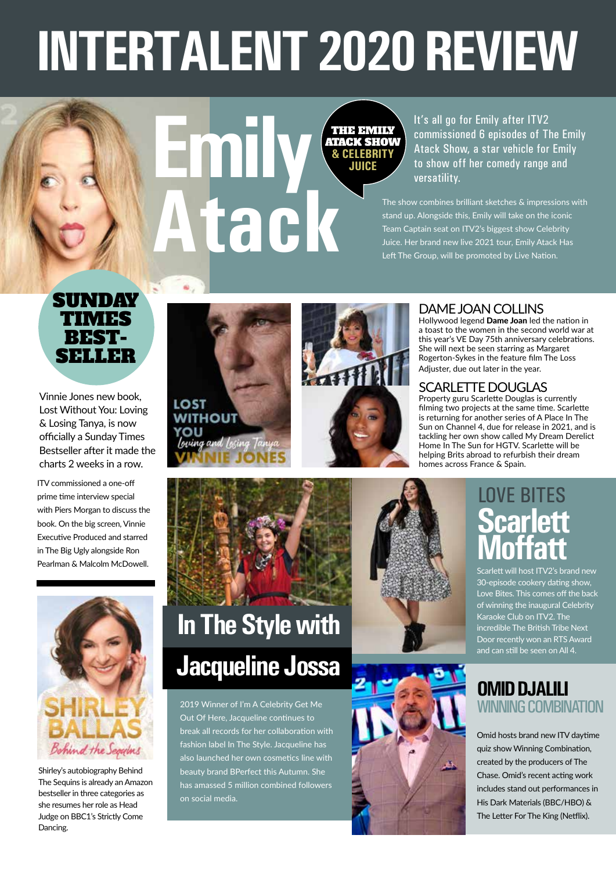# **INTERTALENT 2020 REVIEW**



It's all go for Emily after ITV2 commissioned 6 episodes of The Emily Atack Show, a star vehicle for Emily to show off her comedy range and versatility.

The show combines brilliant sketches & impressions with stand up. Alongside this, Emily will take on the iconic Team Captain seat on ITV2's biggest show Celebrity Juice. Her brand new live 2021 tour, Emily Atack Has Left The Group, will be promoted by Live Nation.

#### SUNDAY TIMES<br>FEST-SELLER

Vinnie Jones new book, Lost Without You: Loving & Losing Tanya, is now officially a Sunday Times Bestseller after it made the charts 2 weeks in a row.

ITV commissioned a one-off prime time interview special with Piers Morgan to discuss the book. On the big screen, Vinnie Executive Produced and starred in The Big Ugly alongside Ron Pearlman & Malcolm McDowell.





#### DAME JOAN COLLINS

Hollywood legend **Dame Joan** led the nation in a toast to the women in the second world war at this year's VE Day 75th anniversary celebrations. She will next be seen starring as Margaret Rogerton-Sykes in the feature film The Loss Adjuster, due out later in the year.

#### SCARLETTE DOUGLAS

Property guru Scarlette Douglas is currently filming two projects at the same time. Scarlette is returning for another series of A Place In The Sun on Channel 4, due for release in 2021, and is tackling her own show called My Dream Derelict Home In The Sun for HGTV. Scarlette will be helping Brits abroad to refurbish their dream homes across France & Spain.

# Behind the Seguins

Shirley's autobiography Behind The Sequins is already an Amazon bestseller in three categories as she resumes her role as Head Judge on BBC1's Strictly Come Dancing.

## **In The Style with Jacqueline Jossa**

2019 Winner of I'm A Celebrity Get Me Out Of Here, Jacqueline continues to break all records for her collaboration with fashion label In The Style. Jacqueline has also launched her own cosmetics line with beauty brand BPerfect this Autumn. She has amassed 5 million combined followers on social media.





#### **Scarlett Moffatt** LOVE BITES

Scarlett will host ITV2's brand new 30-episode cookery dating show, Love Bites. This comes off the back of winning the inaugural Celebrity Karaoke Club on ITV2. The incredible The British Tribe Next Door recently won an RTS Award and can still be seen on All 4.

# **OMID DJALILI**<br>WINNING COMBINATION

Omid hosts brand new ITV daytime quiz show Winning Combination, created by the producers of The Chase. Omid's recent acting work includes stand out performances in His Dark Materials (BBC/HBO) & The Letter For The King (Netflix).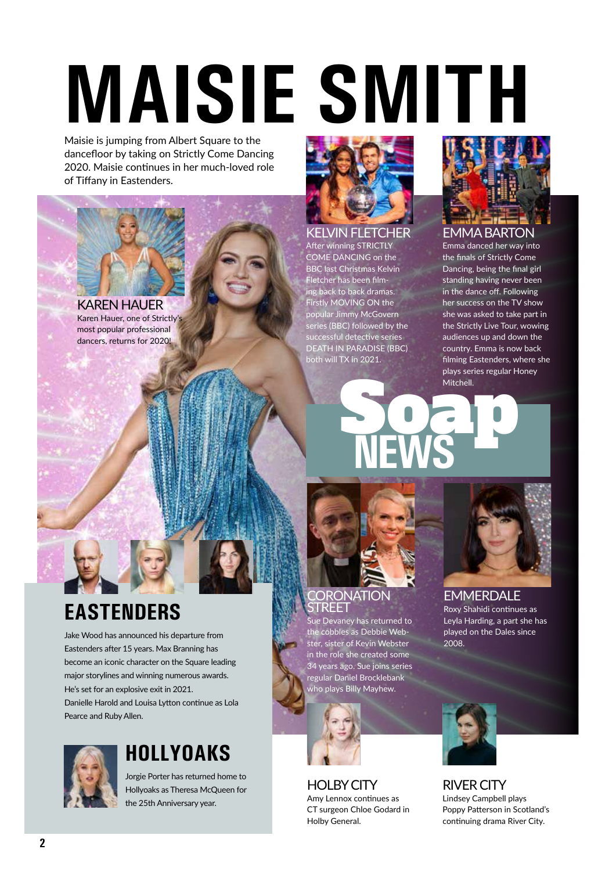# **MAISIE SMITH**

Maisie is jumping from Albert Square to the dancefloor by taking on Strictly Come Dancing 2020. Maisie continues in her much-loved role of Tiffany in Eastenders.



Karen Hauer, one of Strictly's most popular professional dancers, returns for 2020!



#### KELVIN FLETCHER

After winning STRICTLY COME DANCING on the BBC last Christmas Kelvin Fletcher has been film- $\overline{\mathsf{ng}}$  back to back dramas. **Firstly MOVING ON the** popular Jimmy McGovern series (BBC) followed by the successful detective series DEATH IN PARADISE (BBC) both will TX in 2021.



#### EMMA BARTON

Emma danced her way into the finals of Strictly Come Dancing, being the final girl standing having never been in the dance off. Following her success on the TV show she was asked to take part in the Strictly Live Tour, wowing audiences up and down the country. Emma is now back filming Eastenders, where she plays series regular Honey Mitchell.

# **NEWS** Social

#### **RONATION** STREET

Sue Devaney has returned to the cobbles as Debbie Webster, sister of Kevin Webster in the role she created some 34 years ago. Sue joins series regular Daniel Brocklebank ho plays Billy Mayhew.



HOLBY CITY Amy Lennox continues as CT surgeon Chloe Godard in Holby General.



**EMMERDALE** Roxy Shahidi continues as Leyla Harding, a part she has played on the Dales since 2008.

RIVER CITY Lindsey Campbell plays Poppy Patterson in Scotland's continuing drama River City.

#### **EASTENDERS**

Jake Wood has announced his departure from Eastenders after 15 years. Max Branning has become an iconic character on the Square leading major storylines and winning numerous awards. He's set for an explosive exit in 2021. Danielle Harold and Louisa Lytton continue as Lola Pearce and Ruby Allen.



#### **HOLLYOAKS**

Jorgie Porter has returned home to Hollyoaks as Theresa McQueen for the 25th Anniversary year.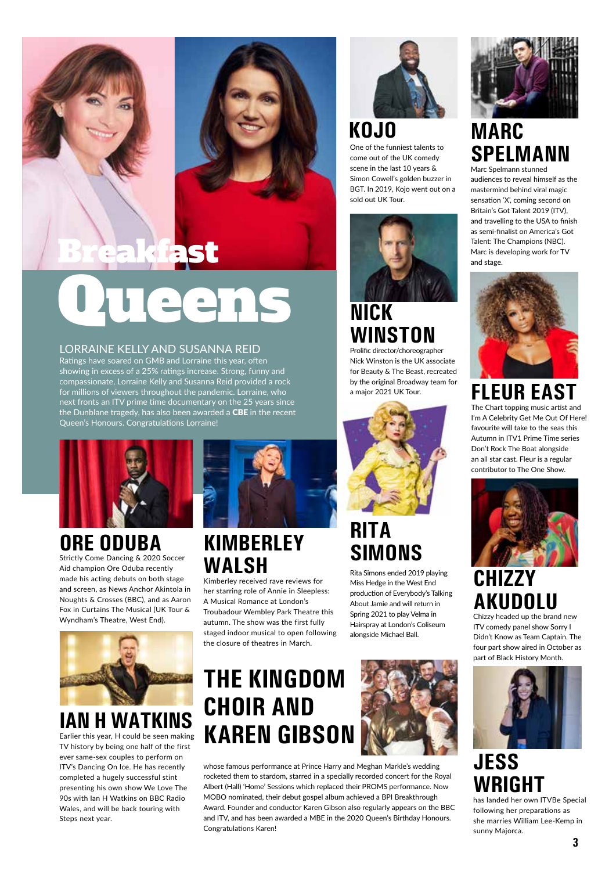

# $L \rightarrow I \rightarrow I$

LORRAINE KELLY AND SUSANNA REID

Ratings have soared on GMB and Lorraine this year, often showing in excess of a 25% ratings increase. Strong, funny and compassionate, Lorraine Kelly and Susanna Reid provided a rock for millions of viewers throughout the pandemic. Lorraine, who next fronts an ITV prime time documentary on the 25 years since the Dunblane tragedy, has also been awarded a **CBE** in the recent Queen's Honours. Congratulations Lorraine!



#### **ORE ODUBA**

Strictly Come Dancing & 2020 Soccer Aid champion Ore Oduba recently made his acting debuts on both stage and screen, as News Anchor Akintola in Noughts & Crosses (BBC), and as Aaron Fox in Curtains The Musical (UK Tour & Wyndham's Theatre, West End).



#### **IAN H WATKINS**

Earlier this year, H could be seen making TV history by being one half of the first ever same-sex couples to perform on ITV's Dancing On Ice. He has recently completed a hugely successful stint presenting his own show We Love The 90s with Ian H Watkins on BBC Radio Wales, and will be back touring with Steps next year.



#### **KIMBERLEY WALSH**

Kimberley received rave reviews for her starring role of Annie in Sleepless: A Musical Romance at London's Troubadour Wembley Park Theatre this autumn. The show was the first fully staged indoor musical to open following the closure of theatres in March.

#### **THE KINGDOM CHOIR AND KAREN GIBSON**



whose famous performance at Prince Harry and Meghan Markle's wedding rocketed them to stardom, starred in a specially recorded concert for the Royal Albert (Hall) 'Home' Sessions which replaced their PROMS performance. Now MOBO nominated, their debut gospel album achieved a BPI Breakthrough Award. Founder and conductor Karen Gibson also regularly appears on the BBC and ITV, and has been awarded a MBE in the 2020 Queen's Birthday Honours. Congratulations Karen!



#### **KOJO**

One of the funniest talents to come out of the UK comedy scene in the last 10 years & Simon Cowell's golden buzzer in BGT. In 2019, Kojo went out on a sold out UK Tour.



#### **NICK WINSTON**

Prolific director/choreographer Nick Winston is the UK associate for Beauty & The Beast, recreated by the original Broadway team for a major 2021 UK Tour.



#### **RITA SIMONS**

Rita Simons ended 2019 playing Miss Hedge in the West End production of Everybody's Talking About Jamie and will return in Spring 2021 to play Velma in Hairspray at London's Coliseum alongside Michael Ball.



#### **MARC SPELMANN**

Marc Spelmann stunned audiences to reveal himself as the mastermind behind viral magic sensation 'X', coming second on Britain's Got Talent 2019 (ITV), and travelling to the USA to finish as semi-finalist on America's Got Talent: The Champions (NBC). Marc is developing work for TV and stage.



#### The Chart topping music artist and **FLEUR EAST**

I'm A Celebrity Get Me Out Of Here! favourite will take to the seas this Autumn in ITV1 Prime Time series Don't Rock The Boat alongside an all star cast. Fleur is a regular contributor to The One Show.



#### **CHIZZY AKUDOLU**

Chizzy headed up the brand new ITV comedy panel show Sorry I Didn't Know as Team Captain. The four part show aired in October as part of Black History Month.



#### **JESS WRIGHT**

has landed her own ITVBe Special following her preparations as she marries William Lee-Kemp in sunny Majorca.

 **3**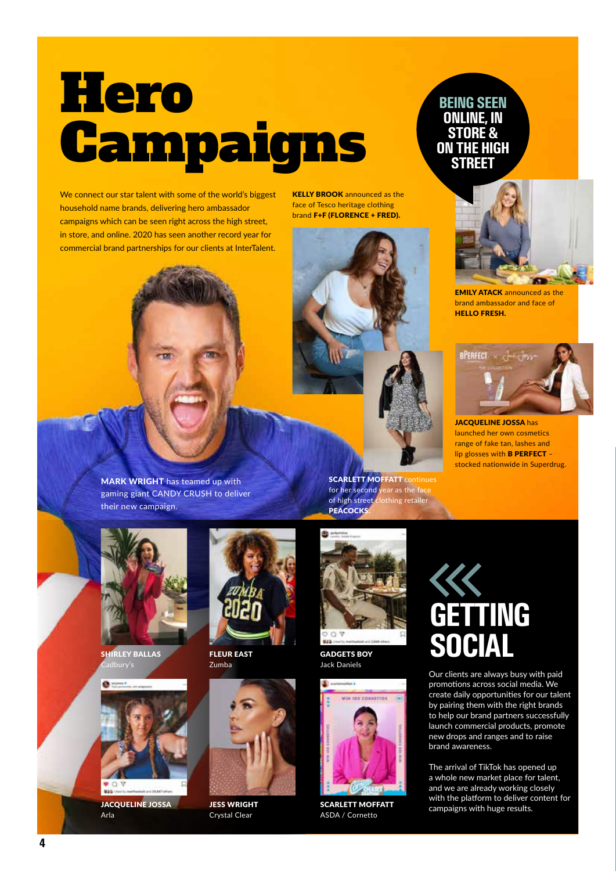# Hero Campaigns

We connect our star talent with some of the world's biggest household name brands, delivering hero ambassador campaigns which can be seen right across the high street, in store, and online. 2020 has seen another record year for commercial brand partnerships for our clients at InterTalent. **KELLY BROOK** announced as the face of Tesco heritage clothing brand F+F (FLORENCE + FRED).





EMILY ATACK announced as the brand ambassador and face of HELLO FRESH.



JACQUELINE JOSSA has launched her own cosmetics range of fake tan, lashes and lip glosses with B PERFECT – stocked nationwide in Superdrug.

MARK WRIGHT has teamed up with gaming giant CANDY CRUSH to deliver their new campaign.



SHIRLEY BALLAS



JACQUELINE JOSSA Arla



FLEUR EAST Zumba



JESS WRIGHT Crystal Clear



**SCARLETT MOFFATT continues** for her second year as the face of high street clothing retailer

GADGETS BOY Jack Daniels

 $O$  V

**PEACOCKS** 



SCARLETT MOFFATT ASDA / Cornetto



Our clients are always busy with paid promotions across social media. We create daily opportunities for our talent by pairing them with the right brands to help our brand partners successfully launch commercial products, promote new drops and ranges and to raise brand awareness.

The arrival of TikTok has opened up a whole new market place for talent, and we are already working closely with the platform to deliver content for campaigns with huge results.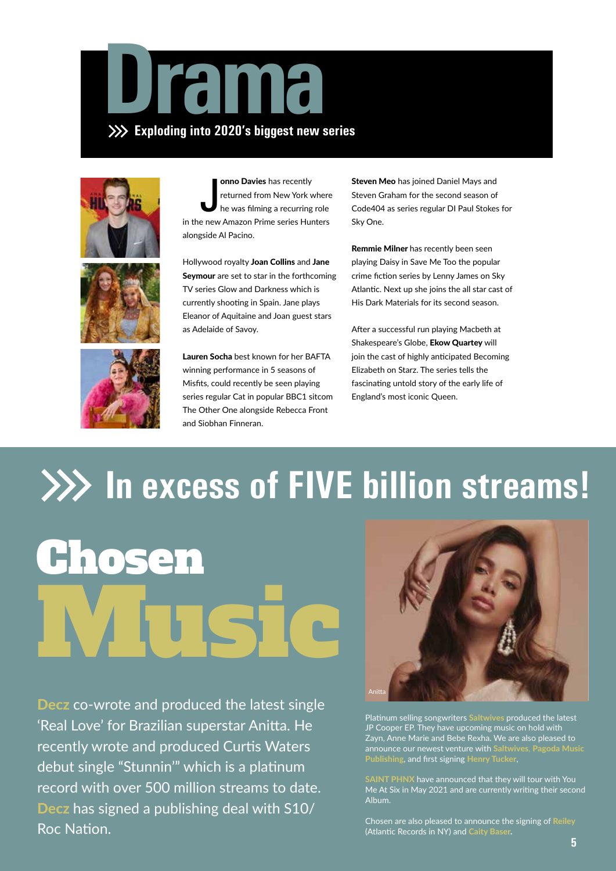







onno Davies has recently<br>returned from New York where<br>he was filming a recurring role<br>in the new Amazon Prime series Hunters onno Davies has recently returned from New York where he was filming a recurring role alongside Al Pacino.

Hollywood royalty Joan Collins and Jane Seymour are set to star in the forthcoming TV series Glow and Darkness which is currently shooting in Spain. Jane plays Eleanor of Aquitaine and Joan guest stars as Adelaide of Savoy.

Lauren Socha best known for her BAFTA winning performance in 5 seasons of Misfits, could recently be seen playing series regular Cat in popular BBC1 sitcom The Other One alongside Rebecca Front and Siobhan Finneran.

Steven Meo has joined Daniel Mays and Steven Graham for the second season of Code404 as series regular DI Paul Stokes for Sky One.

Remmie Milner has recently been seen playing Daisy in Save Me Too the popular crime fiction series by Lenny James on Sky Atlantic. Next up she joins the all star cast of His Dark Materials for its second season.

After a successful run playing Macbeth at Shakespeare's Globe, Ekow Quartey will join the cast of highly anticipated Becoming Elizabeth on Starz. The series tells the fascinating untold story of the early life of England's most iconic Queen.

# **In excess of FIVE billion streams!** Chosen

Decz co-wrote and produced the latest single 'Real Love' for Brazilian superstar Anitta. He recently wrote and produced Curtis Waters debut single "Stunnin'" which is a platinum record with over 500 million streams to date. Decz has signed a publishing deal with S10/ Roc Nation.

Music



Platinum selling songwriters Saltwives produced the latest JP Cooper EP. They have upcoming music on hold with Zayn, Anne Marie and Bebe Rexha. We are also pleased to announce our newest venture with Saltwives, Pagoda Music Publishing, and first signing Henry Tucker,

PHNX have announced that they will tour with You Me At Six in May 2021 and are currently writing their second Album.

Chosen are also pleased to announce the signing of Reiley (Atlantic Records in NY) and Caity Baser.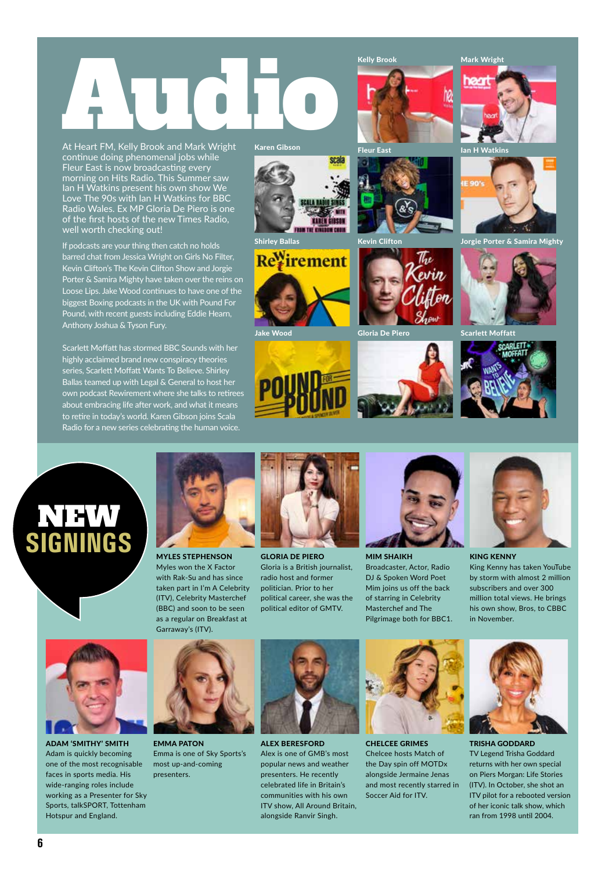# Kelly Brook Audio Mark Wright<br>At Heart FM, Kelly Brook and Mark Wright<br>At Heart FM, Kelly Brook and Mark Wright<br>Regent Karen Gibson

At Heart FM, Kelly Brook and Mark Wright continue doing phenomenal jobs while Fleur East is now broadcasting every morning on Hits Radio. This Summer saw Ian H Watkins present his own show We Love The 90s with Ian H Watkins for BBC Radio Wales. Ex MP Gloria De Piero is one of the first hosts of the new Times Radio, well worth checking out!

If podcasts are your thing then catch no holds barred chat from Jessica Wright on Girls No Filter, Kevin Clifton's The Kevin Clifton Show and Jorgie Porter & Samira Mighty have taken over the reins on Loose Lips. Jake Wood continues to have one of the biggest Boxing podcasts in the UK with Pound For Pound, with recent guests including Eddie Hearn, Anthony Joshua & Tyson Fury.

Scarlett Moffatt has stormed BBC Sounds with her highly acclaimed brand new conspiracy theories series, Scarlett Moffatt Wants To Believe. Shirley Ballas teamed up with Legal & General to host her own podcast Rewirement where she talks to retirees about embracing life after work, and what it means to retire in today's world. Karen Gibson joins Scala Radio for a new series celebrating the human voice.



GLORIA DE PIERO Gloria is a British journalist, radio host and former politician. Prior to her political career, she was the political editor of GMTV.

MIM SHAIKH Broadcaster, Actor, Radio DJ & Spoken Word Poet Mim joins us off the back of starring in Celebrity Masterchef and The Pilgrimage both for BBC1.



KING KENNY King Kenny has taken YouTube by storm with almost 2 million subscribers and over 300 million total views. He brings his own show, Bros, to CBBC in November.



NEW

**SIGNINGS**

ADAM 'SMITHY' SMITH Adam is quickly becoming one of the most recognisable faces in sports media. His wide-ranging roles include working as a Presenter for Sky Sports, talkSPORT, Tottenham Hotspur and England.



MYLES STEPHENSON Myles won the X Factor with Rak-Su and has since taken part in I'm A Celebrity (ITV), Celebrity Masterchef

EMMA PATON Emma is one of Sky Sports's most up-and-coming presenters.



ALEX BERESFORD Alex is one of GMB's most popular news and weather presenters. He recently celebrated life in Britain's communities with his own ITV show, All Around Britain, alongside Ranvir Singh.



CHELCEE GRIMES Chelcee hosts Match of the Day spin off MOTDx alongside Jermaine Jenas and most recently starred in Soccer Aid for ITV.



TRISHA GODDARD TV Legend Trisha Goddard returns with her own special on Piers Morgan: Life Stories (ITV). In October, she shot an ITV pilot for a rebooted version of her iconic talk show, which ran from 1998 until 2004.





Jake Wood

Gloria De Piero Scarlett Moffatt



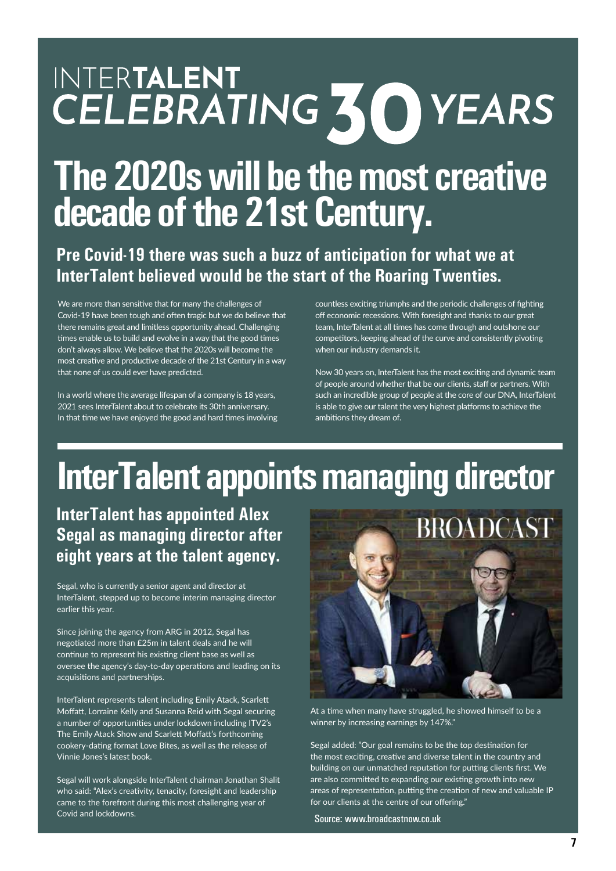# INTERTALENT CELEBRATING 30 YEARS

### **The 2020s will be the most creative decade of the 21st Century.**

#### **Pre Covid-19 there was such a buzz of anticipation for what we at InterTalent believed would be the start of the Roaring Twenties.**

We are more than sensitive that for many the challenges of Covid-19 have been tough and often tragic but we do believe that there remains great and limitless opportunity ahead. Challenging times enable us to build and evolve in a way that the good times don't always allow. We believe that the 2020s will become the most creative and productive decade of the 21st Century in a way that none of us could ever have predicted.

In a world where the average lifespan of a company is 18 years, 2021 sees InterTalent about to celebrate its 30th anniversary. In that time we have enjoyed the good and hard times involving countless exciting triumphs and the periodic challenges of fighting off economic recessions. With foresight and thanks to our great team, InterTalent at all times has come through and outshone our competitors, keeping ahead of the curve and consistently pivoting when our industry demands it.

Now 30 years on, InterTalent has the most exciting and dynamic team of people around whether that be our clients, staff or partners. With such an incredible group of people at the core of our DNA, InterTalent is able to give our talent the very highest platforms to achieve the ambitions they dream of.

### **InterTalent appoints managing director**

#### **InterTalent has appointed Alex Segal as managing director after eight years at the talent agency.**

Segal, who is currently a senior agent and director at InterTalent, stepped up to become interim managing director earlier this year.

Since joining the agency from ARG in 2012, Segal has negotiated more than £25m in talent deals and he will continue to represent his existing client base as well as oversee the agency's day-to-day operations and leading on its acquisitions and partnerships.

InterTalent represents talent including Emily Atack, Scarlett Moffatt, Lorraine Kelly and Susanna Reid with Segal securing a number of opportunities under lockdown including ITV2's The Emily Atack Show and Scarlett Moffatt's forthcoming cookery-dating format Love Bites, as well as the release of Vinnie Jones's latest book.

Segal will work alongside InterTalent chairman Jonathan Shalit who said: "Alex's creativity, tenacity, foresight and leadership came to the forefront during this most challenging year of Covid and lockdowns.



At a time when many have struggled, he showed himself to be a winner by increasing earnings by 147%."

Segal added: "Our goal remains to be the top destination for the most exciting, creative and diverse talent in the country and building on our unmatched reputation for putting clients first. We are also committed to expanding our existing growth into new areas of representation, putting the creation of new and valuable IP for our clients at the centre of our offering."

Source: www.broadcastnow.co.uk